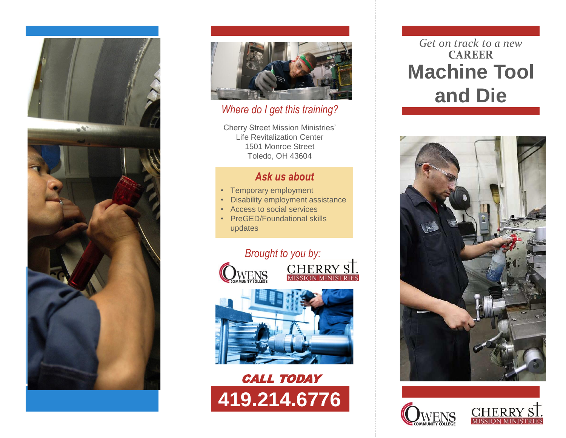



#### *Where do I get this training?*

Cherry Street Mission Ministries' Life Revitalization Center 1501 Monroe Street Toledo, OH 43604

#### *Ask us about*

- Temporary employment
- Disability employment assistance
- Access to social services
- PreGED/Foundational skills updates







# *Get on track to a new* **CAREER Machine Tool and Die**